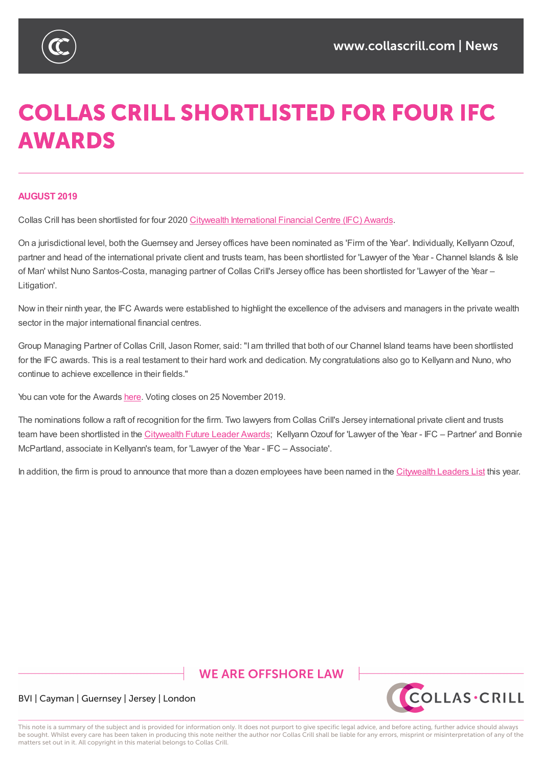

# **COLLAS CRILL SHORTLISTED FOR FOUR IFC AWARDS**

#### **AUGUST 2019**

Collas Crill has been shortlisted for four 2020 Citywealth International Financial Centre (IFC) Awards.

On a jurisdictional level, both the Guernsey and Jersey offices have been nominated as 'Firm of the Year'. Individually, KellyannOzouf, partner and head of the international private client and trusts team, has been shortlisted for 'Lawyer of the Year - Channel Islands & Isle of Man' whilst Nuno Santos-Costa, managing partner of Collas Crill's Jersey office has been [shortliste](https://www.citywealthmag.com/awards/ifc-awards)d for 'Lawyer of the Year – Litigation'.

Now in their ninth year, the IFC Awards were established to highlight the excellence of the advisers and managers in the private wealth sector in the major international financial centres.

Group Managing Partner of Collas Crill, Jason Romer, said: "I am thrilled that both of our Channel Island teams have been shortlisted for the IFC awards. This is a real testament to their hard work and dedication. My congratulations also go to Kellyann and Nuno, who continue to achieve excellence in their fields."

You can vote for the Awards here. Voting closes on 25 November 2019.

The nominations follow a raft of recognition for the firm. Two lawyers from Collas Crill's Jersey international private client and trusts team have been shortlisted in the Citywealth Future Leader Awards; Kellyann Ozouf for 'Lawyer of the Year - IFC – Partner' and Bonnie McPartland, associate in K[ellyann](https://www.citywealthmag.com/awards/ifc-awards/voting)'s team, for 'Lawyer of the Year - IFC – Associate'.

In addition, the firm is proud to an[nounce](https://www.collascrill.com/news/company/collas-crill-jersey-private-client-lawyers-shortlisted-for-future-leader-awards/) that more than a dozen employees have been named in the Citywealth Leaders List this year.

## **WE ARE OFFSHORE LAW**



#### BVI | Cayman | Guernsey | Jersey | London

This note is a summary of the subject and is provided for information only. It does not purport to give specific legal advice, and before acting, further advice should always be sought. Whilst every care has been taken in producing this note neither the author nor Collas Crill shall be liable for any errors, misprint or misinterpretation of any of the matters set out in it. All copyright in this material belongs to Collas Crill.